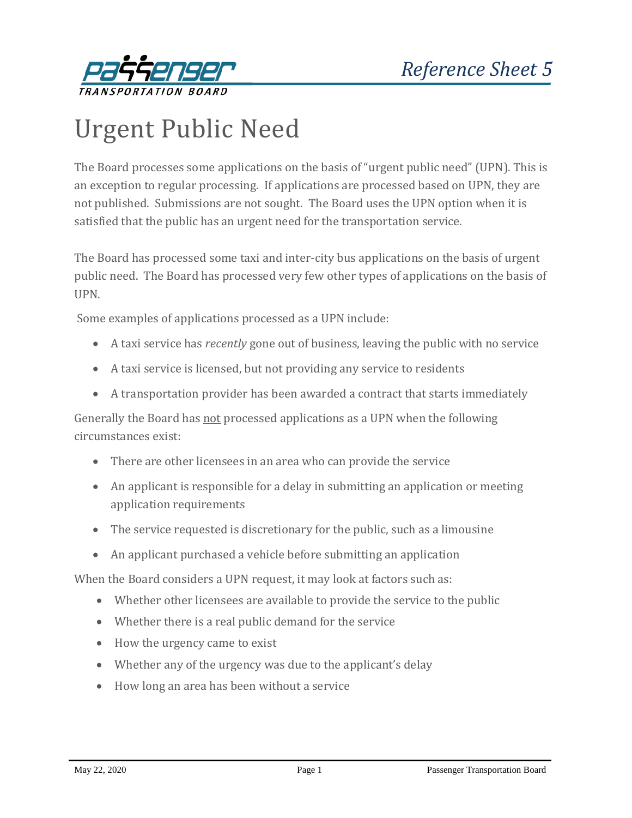

## Urgent Public Need

The Board processes some applications on the basis of "urgent public need" (UPN). This is an exception to regular processing. If applications are processed based on UPN, they are not published. Submissions are not sought. The Board uses the UPN option when it is satisfied that the public has an urgent need for the transportation service.

The Board has processed some taxi and inter-city bus applications on the basis of urgent public need. The Board has processed very few other types of applications on the basis of UPN.

Some examples of applications processed as a UPN include:

- A taxi service has *recently* gone out of business, leaving the public with no service
- A taxi service is licensed, but not providing any service to residents
- A transportation provider has been awarded a contract that starts immediately

Generally the Board has not processed applications as a UPN when the following circumstances exist:

- There are other licensees in an area who can provide the service
- An applicant is responsible for a delay in submitting an application or meeting application requirements
- The service requested is discretionary for the public, such as a limousine
- An applicant purchased a vehicle before submitting an application

When the Board considers a UPN request, it may look at factors such as:

- Whether other licensees are available to provide the service to the public
- Whether there is a real public demand for the service
- How the urgency came to exist
- Whether any of the urgency was due to the applicant's delay
- How long an area has been without a service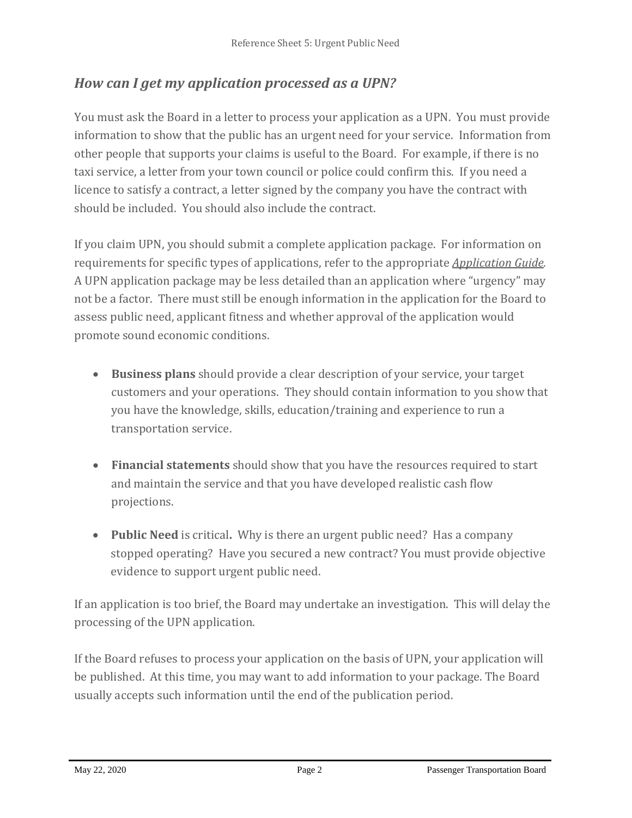## *How can I get my application processed as a UPN?*

You must ask the Board in a letter to process your application as a UPN. You must provide information to show that the public has an urgent need for your service. Information from other people that supports your claims is useful to the Board. For example, if there is no taxi service, a letter from your town council or police could confirm this. If you need a licence to satisfy a contract, a letter signed by the company you have the contract with should be included. You should also include the contract.

If you claim UPN, you should submit a complete application package. For information on requirements for specific types of applications, refer to the appropriate *[Application Guide.](http://www.th.gov.bc.ca/ptb/forms.htm#tabs-1)* A UPN application package may be less detailed than an application where "urgency" may not be a factor. There must still be enough information in the application for the Board to assess public need, applicant fitness and whether approval of the application would promote sound economic conditions.

- **Business plans** should provide a clear description of your service, your target customers and your operations. They should contain information to you show that you have the knowledge, skills, education/training and experience to run a transportation service.
- **Financial statements** should show that you have the resources required to start and maintain the service and that you have developed realistic cash flow projections.
- **Public Need** is critical**.** Why is there an urgent public need? Has a company stopped operating? Have you secured a new contract? You must provide objective evidence to support urgent public need.

If an application is too brief, the Board may undertake an investigation. This will delay the processing of the UPN application.

If the Board refuses to process your application on the basis of UPN, your application will be published. At this time, you may want to add information to your package. The Board usually accepts such information until the end of the publication period.